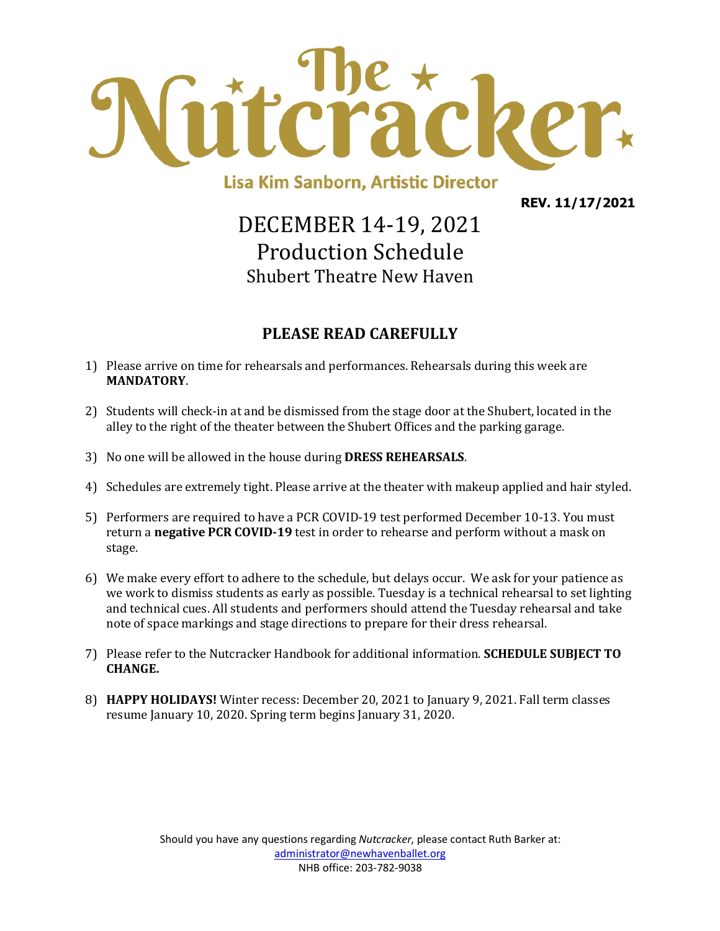

**Lisa Kim Sanborn, Artistic Director** 

**REV. 11/17/2021**

## DECEMBER 14-19, 2021 Production Schedule Shubert Theatre New Haven

#### **PLEASE READ CAREFULLY**

- 1) Please arrive on time for rehearsals and performances. Rehearsals during this week are **MANDATORY**.
- 2) Students will check-in at and be dismissed from the stage door at the Shubert, located in the alley to the right of the theater between the Shubert Offices and the parking garage.
- 3) No one will be allowed in the house during **DRESS REHEARSALS**.
- 4) Schedules are extremely tight. Please arrive at the theater with makeup applied and hair styled.
- 5) Performers are required to have a PCR COVID-19 test performed December 10-13. You must return a **negative PCR COVID-19** test in order to rehearse and perform without a mask on stage.
- 6) We make every effort to adhere to the schedule, but delays occur. We ask for your patience as we work to dismiss students as early as possible. Tuesday is a technical rehearsal to set lighting and technical cues. All students and performers should attend the Tuesday rehearsal and take note of space markings and stage directions to prepare for their dress rehearsal.
- 7) Please refer to the Nutcracker Handbook for additional information. **SCHEDULE SUBJECT TO CHANGE.**
- 8) **HAPPY HOLIDAYS!** Winter recess: December 20, 2021 to January 9, 2021. Fall term classes resume January 10, 2020. Spring term begins January 31, 2020.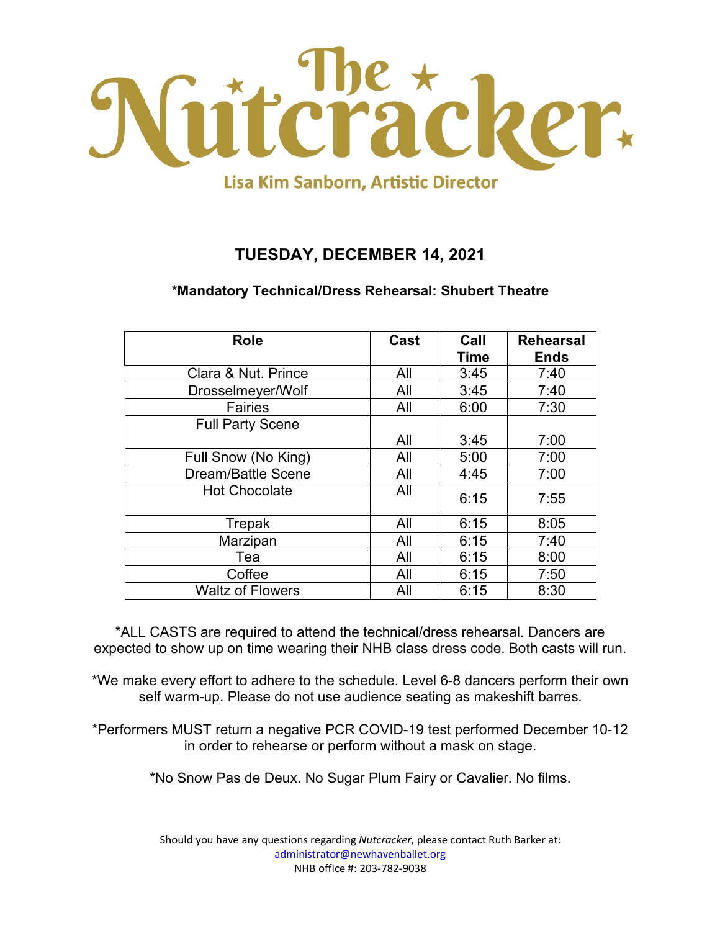

#### **TUESDAY, DECEMBER 14, 2021**

#### **\*Mandatory Technical/Dress Rehearsal: Shubert Theatre**

| <b>Role</b>               | Cast | Call<br><b>Time</b> | <b>Rehearsal</b><br><b>Ends</b> |
|---------------------------|------|---------------------|---------------------------------|
| Clara & Nut. Prince       | All  | 3:45                | 7:40                            |
| Drosselmeyer/Wolf         | All  | 3:45                | 7:40                            |
| <b>Fairies</b>            | All  | 6:00                | 7:30                            |
| <b>Full Party Scene</b>   |      |                     |                                 |
|                           | All  | 3:45                | 7:00                            |
| Full Snow (No King)       | All  | 5:00                | 7:00                            |
| <b>Dream/Battle Scene</b> | All  | 4:45                | 7:00                            |
| <b>Hot Chocolate</b>      | All  | 6:15                | 7:55                            |
| Trepak                    | All  | 6:15                | 8:05                            |
| Marzipan                  | All  | 6:15                | 7:40                            |
| Tea                       | All  | 6:15                | 8:00                            |
| Coffee                    | All  | 6:15                | 7:50                            |
| <b>Waltz of Flowers</b>   | All  | 6:15                | 8:30                            |

\*ALL CASTS are required to attend the technical/dress rehearsal. Dancers are expected to show up on time wearing their NHB class dress code. Both casts will run.

\*We make every effort to adhere to the schedule. Level 6-8 dancers perform their own self warm-up. Please do not use audience seating as makeshift barres.

\*Performers MUST return a negative PCR COVID-19 test performed December 10-12 in order to rehearse or perform without a mask on stage.

\*No Snow Pas de Deux. No Sugar Plum Fairy or Cavalier. No films.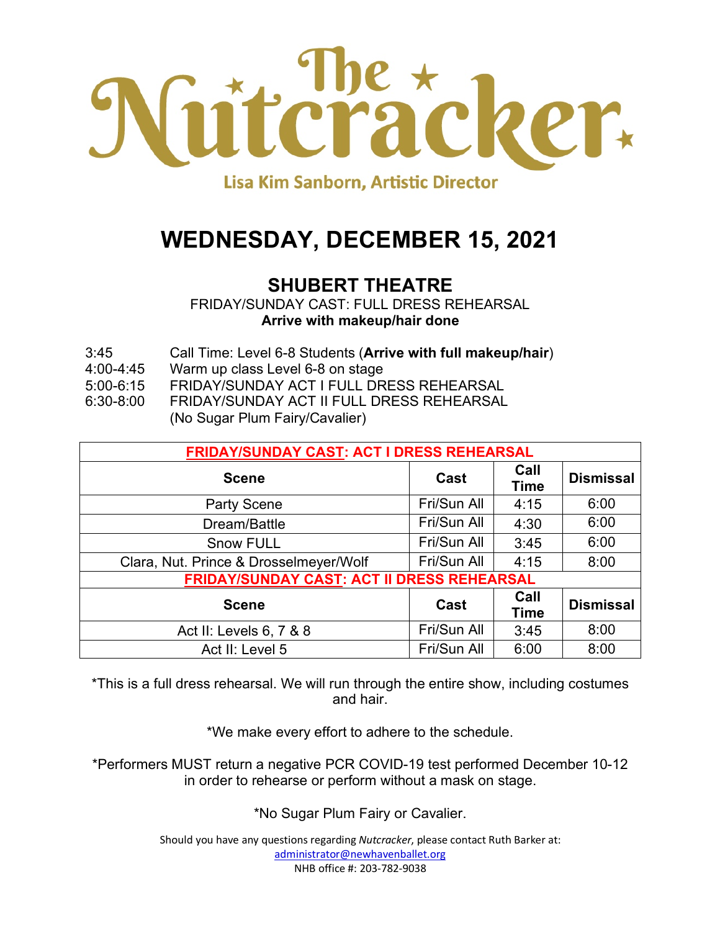

## **WEDNESDAY, DECEMBER 15, 2021**

### **SHUBERT THEATRE**

FRIDAY/SUNDAY CAST: FULL DRESS REHEARSAL **Arrive with makeup/hair done**

- 3:45 Call Time: Level 6-8 Students (**Arrive with full makeup/hair**)
- 4:00-4:45 Warm up class Level 6-8 on stage
- 5:00-6:15 FRIDAY/SUNDAY ACT I FULL DRESS REHEARSAL
- 6:30-8:00 FRIDAY/SUNDAY ACT II FULL DRESS REHEARSAL
	- (No Sugar Plum Fairy/Cavalier)

| <b>FRIDAY/SUNDAY CAST: ACT I DRESS REHEARSAL</b>  |             |                     |                  |
|---------------------------------------------------|-------------|---------------------|------------------|
| <b>Scene</b>                                      | Cast        | Call<br><b>Time</b> | <b>Dismissal</b> |
| <b>Party Scene</b>                                | Fri/Sun All | 4:15                | 6:00             |
| Dream/Battle                                      | Fri/Sun All | 4:30                | 6:00             |
| <b>Snow FULL</b>                                  | Fri/Sun All | 3:45                | 6:00             |
| Clara, Nut. Prince & Drosselmeyer/Wolf            | Fri/Sun All | 4:15                | 8:00             |
| <b>FRIDAY/SUNDAY CAST: ACT II DRESS REHEARSAL</b> |             |                     |                  |
| <b>Scene</b>                                      | Cast        | Call<br><b>Time</b> | <b>Dismissal</b> |
| Act II: Levels 6, 7 & 8                           | Fri/Sun All | 3:45                | 8:00             |
| Act II: Level 5                                   | Fri/Sun All | 6:00                | 8:00             |

\*This is a full dress rehearsal. We will run through the entire show, including costumes and hair.

\*We make every effort to adhere to the schedule.

\*Performers MUST return a negative PCR COVID-19 test performed December 10-12 in order to rehearse or perform without a mask on stage.

\*No Sugar Plum Fairy or Cavalier.

Should you have any questions regarding *Nutcracker*, please contact Ruth Barker at: administrator@newhavenballet.org NHB office #: 203-782-9038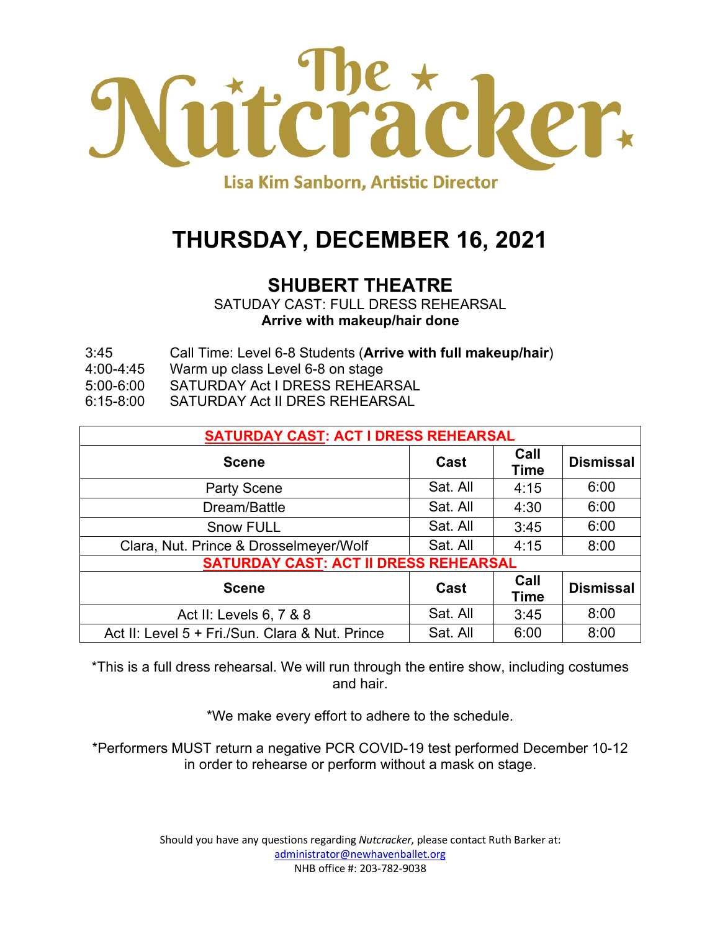

## **THURSDAY, DECEMBER 16, 2021**

### **SHUBERT THEATRE**

SATUDAY CAST: FULL DRESS REHEARSAL **Arrive with makeup/hair done**

- 3:45 Call Time: Level 6-8 Students (**Arrive with full makeup/hair**)
- 4:00-4:45 Warm up class Level 6-8 on stage
- 5:00-6:00 SATURDAY Act I DRESS REHEARSAL
- 6:15-8:00 SATURDAY Act II DRES REHEARSAL

| <b>SATURDAY CAST: ACT I DRESS REHEARSAL</b>     |          |                     |                  |
|-------------------------------------------------|----------|---------------------|------------------|
| <b>Scene</b>                                    | Cast     | Call<br><b>Time</b> | <b>Dismissal</b> |
| <b>Party Scene</b>                              | Sat. All | 4:15                | 6:00             |
| Dream/Battle                                    | Sat. All | 4:30                | 6:00             |
| <b>Snow FULL</b>                                | Sat. All | 3:45                | 6:00             |
| Clara, Nut. Prince & Drosselmeyer/Wolf          | Sat. All | 4:15                | 8:00             |
| <b>SATURDAY CAST: ACT II DRESS REHEARSAL</b>    |          |                     |                  |
| <b>Scene</b>                                    | Cast     | Call<br><b>Time</b> | <b>Dismissal</b> |
| Act II: Levels 6, 7 & 8                         | Sat. All | 3:45                | 8:00             |
| Act II: Level 5 + Fri./Sun. Clara & Nut. Prince | Sat. All | 6:00                | 8:00             |

\*This is a full dress rehearsal. We will run through the entire show, including costumes and hair.

\*We make every effort to adhere to the schedule.

\*Performers MUST return a negative PCR COVID-19 test performed December 10-12 in order to rehearse or perform without a mask on stage.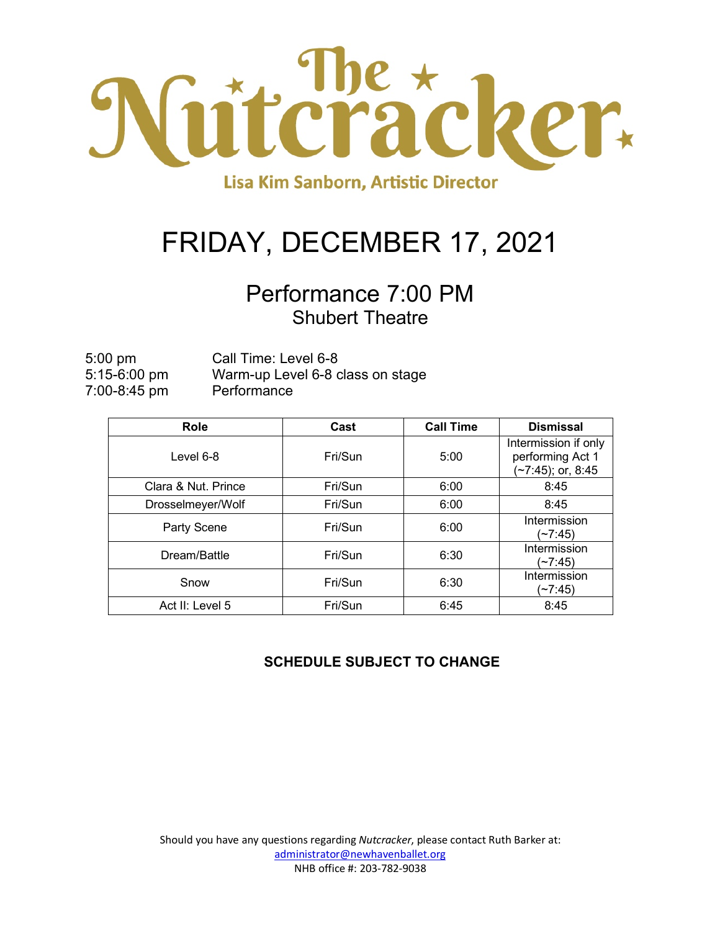

# FRIDAY, DECEMBER 17, 2021

## Performance 7:00 PM Shubert Theatre

5:00 pm Call Time: Level 6-8 5:15-6:00 pm Warm-up Level 6-8 class on stage 7:00-8:45 pm Performance

| <b>Role</b>         | Cast    | <b>Call Time</b> | <b>Dismissal</b>                                              |
|---------------------|---------|------------------|---------------------------------------------------------------|
| Level 6-8           | Fri/Sun | 5:00             | Intermission if only<br>performing Act 1<br>(~7:45); or, 8:45 |
| Clara & Nut. Prince | Fri/Sun | 6:00             | 8:45                                                          |
| Drosselmeyer/Wolf   | Fri/Sun | 6:00             | 8:45                                                          |
| Party Scene         | Fri/Sun | 6:00             | Intermission<br>(~7:45)                                       |
| Dream/Battle        | Fri/Sun | 6:30             | Intermission<br>(~7:45)                                       |
| Snow                | Fri/Sun | 6:30             | Intermission<br>(~7:45)                                       |
| Act II: Level 5     | Fri/Sun | 6:45             | 8:45                                                          |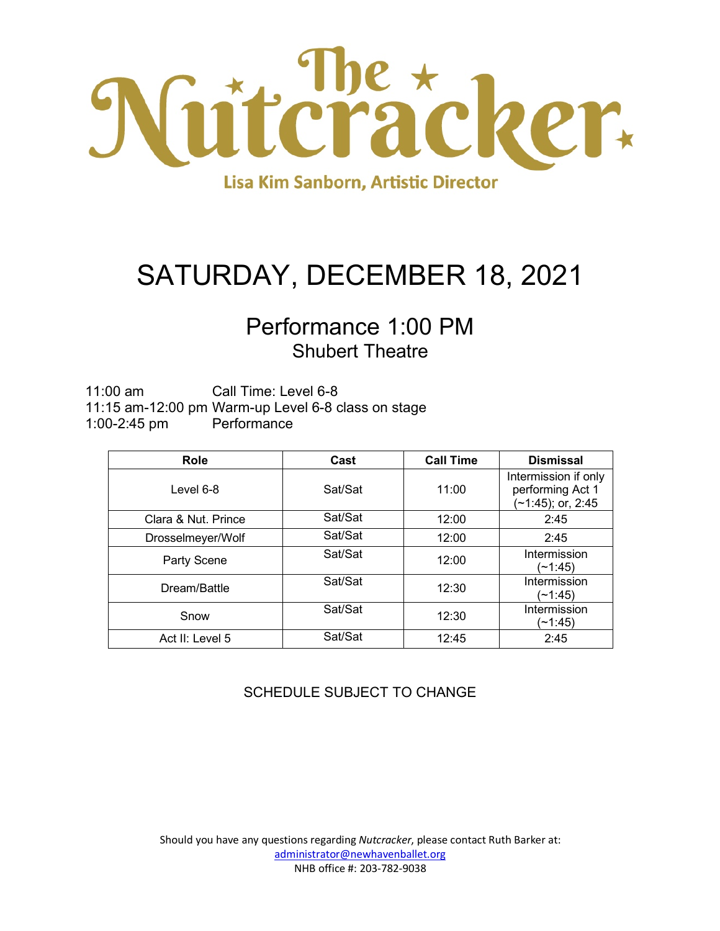

# SATURDAY, DECEMBER 18, 2021

### Performance 1:00 PM Shubert Theatre

11:00 am Call Time: Level 6-8 11:15 am-12:00 pm Warm-up Level 6-8 class on stage 1:00-2:45 pm Performance

| <b>Role</b>         | Cast    | <b>Call Time</b> | <b>Dismissal</b>                                                 |
|---------------------|---------|------------------|------------------------------------------------------------------|
| Level $6-8$         | Sat/Sat | 11:00            | Intermission if only<br>performing Act 1<br>$(-1:45)$ ; or, 2:45 |
| Clara & Nut. Prince | Sat/Sat | 12:00            | 2:45                                                             |
| Drosselmeyer/Wolf   | Sat/Sat | 12:00            | 2:45                                                             |
| <b>Party Scene</b>  | Sat/Sat | 12:00            | Intermission<br>(~1:45)                                          |
| Dream/Battle        | Sat/Sat | 12:30            | Intermission<br>(~1:45)                                          |
| Snow                | Sat/Sat | 12:30            | Intermission<br>(~1:45)                                          |
| Act II: Level 5     | Sat/Sat | 12:45            | 2:45                                                             |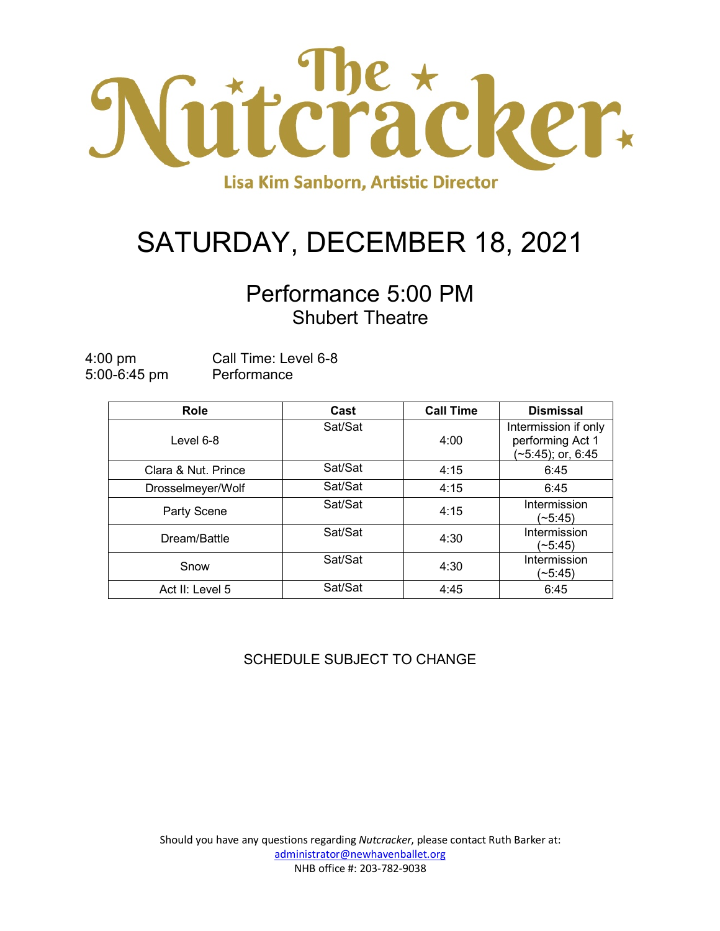

# SATURDAY, DECEMBER 18, 2021

## Performance 5:00 PM Shubert Theatre

| $4:00 \text{ pm}$ | Call Time: Level 6-8 |
|-------------------|----------------------|
| $5:00 - 6:45$ pm  | Performance          |

| Role                | Cast    | <b>Call Time</b> | <b>Dismissal</b>                                                 |
|---------------------|---------|------------------|------------------------------------------------------------------|
| Level 6-8           | Sat/Sat | 4:00             | Intermission if only<br>performing Act 1<br>$(-5.45)$ ; or, 6:45 |
| Clara & Nut. Prince | Sat/Sat | 4:15             | 6:45                                                             |
| Drosselmeyer/Wolf   | Sat/Sat | 4:15             | 6:45                                                             |
| Party Scene         | Sat/Sat | 4:15             | Intermission<br>(~5:45)                                          |
| Dream/Battle        | Sat/Sat | 4:30             | Intermission<br>(~5:45)                                          |
| Snow                | Sat/Sat | 4:30             | Intermission<br>(~5:45)                                          |
| Act II: Level 5     | Sat/Sat | 4:45             | 6:45                                                             |